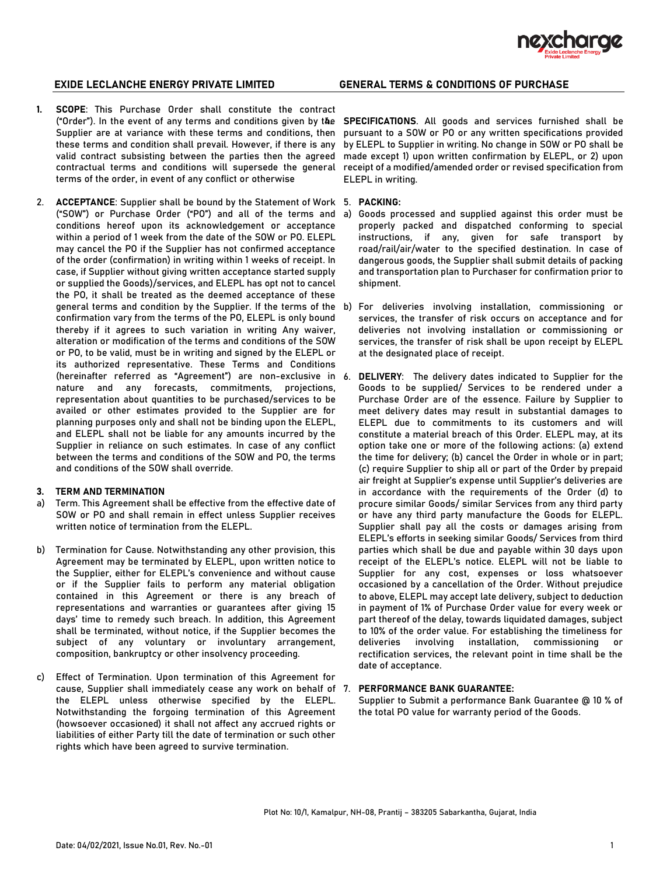

- **1. SCOPE**: This Purchase Order shall constitute the contract ("Order"). In the event of any terms and conditions given by the 4. **SPECIFICATIONS**. All goods and services furnished shall be Supplier are at variance with these terms and conditions, then these terms and condition shall prevail. However, if there is any valid contract subsisting between the parties then the agreed contractual terms and conditions will supersede the general terms of the order, in event of any conflict or otherwise
- 2. **ACCEPTANCE**: Supplier shall be bound by the Statement of Work 5. **PACKING:**  ("SOW") or Purchase Order ("PO") and all of the terms and a) Goods processed and supplied against this order must be conditions hereof upon its acknowledgement or acceptance within a period of 1 week from the date of the SOW or PO. ELEPL may cancel the PO if the Supplier has not confirmed acceptance of the order (confirmation) in writing within 1 weeks of receipt. In case, if Supplier without giving written acceptance started supply or supplied the Goods)/services, and ELEPL has opt not to cancel the PO, it shall be treated as the deemed acceptance of these general terms and condition by the Supplier. If the terms of the b) For deliveries involving installation, commissioning or confirmation vary from the terms of the PO, ELEPL is only bound thereby if it agrees to such variation in writing Any waiver, alteration or modification of the terms and conditions of the SOW or PO, to be valid, must be in writing and signed by the ELEPL or its authorized representative. These Terms and Conditions (hereinafter referred as "Agreement") are non-exclusive in nature and any forecasts, commitments, projections, representation about quantities to be purchased/services to be availed or other estimates provided to the Supplier are for planning purposes only and shall not be binding upon the ELEPL, and ELEPL shall not be liable for any amounts incurred by the Supplier in reliance on such estimates. In case of any conflict between the terms and conditions of the SOW and PO, the terms and conditions of the SOW shall override.

### **3. TERM AND TERMINATION**

- a) Term. This Agreement shall be effective from the effective date of SOW or PO and shall remain in effect unless Supplier receives written notice of termination from the ELEPL.
- b) Termination for Cause. Notwithstanding any other provision, this Agreement may be terminated by ELEPL, upon written notice to the Supplier, either for ELEPL's convenience and without cause or if the Supplier fails to perform any material obligation contained in this Agreement or there is any breach of representations and warranties or guarantees after giving 15 days' time to remedy such breach. In addition, this Agreement shall be terminated, without notice, if the Supplier becomes the subject of any voluntary or involuntary arrangement, composition, bankruptcy or other insolvency proceeding.
- c) Effect of Termination. Upon termination of this Agreement for cause, Supplier shall immediately cease any work on behalf of the ELEPL unless otherwise specified by the ELEPL. Notwithstanding the forgoing termination of this Agreement (howsoever occasioned) it shall not affect any accrued rights or liabilities of either Party till the date of termination or such other rights which have been agreed to survive termination.

pursuant to a SOW or PO or any written specifications provided by ELEPL to Supplier in writing. No change in SOW or PO shall be made except 1) upon written confirmation by ELEPL, or 2) upon receipt of a modified/amended order or revised specification from ELEPL in writing.

- properly packed and dispatched conforming to special instructions, if any, given for safe transport by road/rail/air/water to the specified destination. In case of dangerous goods, the Supplier shall submit details of packing and transportation plan to Purchaser for confirmation prior to shipment.
- services, the transfer of risk occurs on acceptance and for deliveries not involving installation or commissioning or services, the transfer of risk shall be upon receipt by ELEPL at the designated place of receipt.
- **DELIVERY:** The delivery dates indicated to Supplier for the Goods to be supplied/ Services to be rendered under a Purchase Order are of the essence. Failure by Supplier to meet delivery dates may result in substantial damages to ELEPL due to commitments to its customers and will constitute a material breach of this Order. ELEPL may, at its option take one or more of the following actions: (a) extend the time for delivery; (b) cancel the Order in whole or in part; (c) require Supplier to ship all or part of the Order by prepaid air freight at Supplier's expense until Supplier's deliveries are in accordance with the requirements of the Order (d) to procure similar Goods/ similar Services from any third party or have any third party manufacture the Goods for ELEPL. Supplier shall pay all the costs or damages arising from ELEPL's efforts in seeking similar Goods/ Services from third parties which shall be due and payable within 30 days upon receipt of the ELEPL's notice. ELEPL will not be liable to Supplier for any cost, expenses or loss whatsoever occasioned by a cancellation of the Order. Without prejudice to above, ELEPL may accept late delivery, subject to deduction in payment of 1% of Purchase Order value for every week or part thereof of the delay, towards liquidated damages, subject to 10% of the order value. For establishing the timeliness for deliveries involving installation, commissioning or rectification services, the relevant point in time shall be the date of acceptance.

### 7. **PERFORMANCE BANK GUARANTEE:**

Supplier to Submit a performance Bank Guarantee @ 10 % of the total PO value for warranty period of the Goods.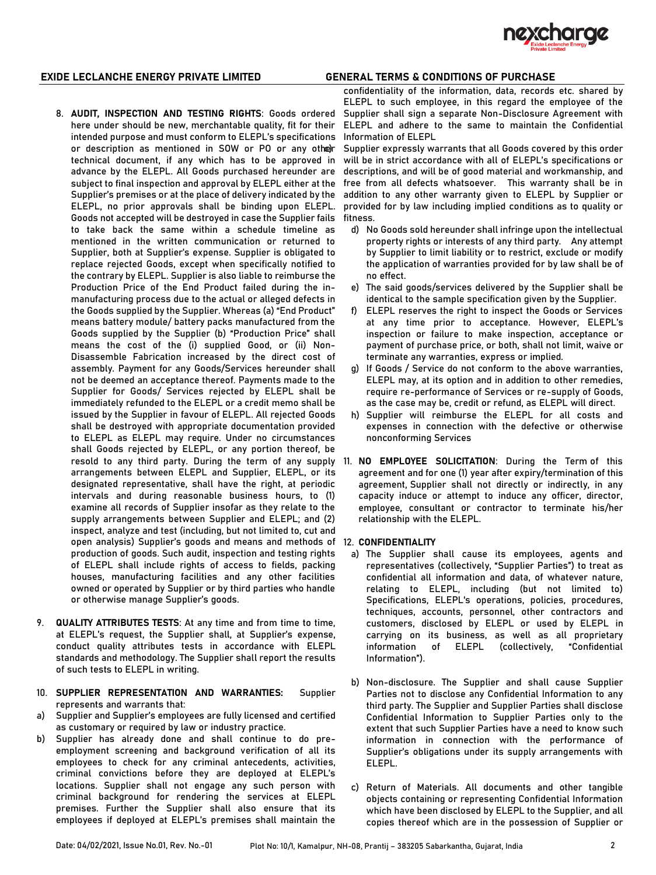

- 8. **AUDIT, INSPECTION AND TESTING RIGHTS**: Goods ordered here under should be new, merchantable quality, fit for their intended purpose and must conform to ELEPL's specifications or description as mentioned in SOW or PO or any other technical document, if any which has to be approved in advance by the ELEPL. All Goods purchased hereunder are subject to final inspection and approval by ELEPL either at the Supplier's premises or at the place of delivery indicated by the ELEPL, no prior approvals shall be binding upon ELEPL. Goods not accepted will be destroyed in case the Supplier fails to take back the same within a schedule timeline as mentioned in the written communication or returned to Supplier, both at Supplier's expense. Supplier is obligated to replace rejected Goods, except when specifically notified to the contrary by ELEPL. Supplier is also liable to reimburse the Production Price of the End Product failed during the inmanufacturing process due to the actual or alleged defects in the Goods supplied by the Supplier. Whereas (a) "End Product" means battery module/ battery packs manufactured from the Goods supplied by the Supplier (b) "Production Price" shall means the cost of the (i) supplied Good, or (ii) Non-Disassemble Fabrication increased by the direct cost of assembly. Payment for any Goods/Services hereunder shall not be deemed an acceptance thereof. Payments made to the Supplier for Goods/ Services rejected by ELEPL shall be immediately refunded to the ELEPL or a credit memo shall be issued by the Supplier in favour of ELEPL. All rejected Goods shall be destroyed with appropriate documentation provided to ELEPL as ELEPL may require. Under no circumstances shall Goods rejected by ELEPL, or any portion thereof, be arrangements between ELEPL and Supplier, ELEPL, or its designated representative, shall have the right, at periodic intervals and during reasonable business hours, to (1) examine all records of Supplier insofar as they relate to the supply arrangements between Supplier and ELEPL; and (2) inspect, analyze and test (including, but not limited to, cut and open analysis) Supplier's goods and means and methods of 12. **CONFIDENTIALITY** production of goods. Such audit, inspection and testing rights of ELEPL shall include rights of access to fields, packing houses, manufacturing facilities and any other facilities owned or operated by Supplier or by third parties who handle or otherwise manage Supplier's goods.
- 9. **QUALITY ATTRIBUTES TESTS**: At any time and from time to time, at ELEPL's request, the Supplier shall, at Supplier's expense, conduct quality attributes tests in accordance with ELEPL standards and methodology. The Supplier shall report the results of such tests to ELEPL in writing.
- 10. **SUPPLIER REPRESENTATION AND WARRANTIES:** Supplier represents and warrants that:
- a) Supplier and Supplier's employees are fully licensed and certified as customary or required by law or industry practice.
- b) Supplier has already done and shall continue to do preemployment screening and background verification of all its employees to check for any criminal antecedents, activities, criminal convictions before they are deployed at ELEPL's locations. Supplier shall not engage any such person with criminal background for rendering the services at ELEPL premises. Further the Supplier shall also ensure that its employees if deployed at ELEPL's premises shall maintain the

confidentiality of the information, data, records etc. shared by ELEPL to such employee, in this regard the employee of the Supplier shall sign a separate Non-Disclosure Agreement with ELEPL and adhere to the same to maintain the Confidential Information of ELEPL

Supplier expressly warrants that all Goods covered by this order will be in strict accordance with all of ELEPL's specifications or descriptions, and will be of good material and workmanship, and free from all defects whatsoever. This warranty shall be in addition to any other warranty given to ELEPL by Supplier or provided for by law including implied conditions as to quality or fitness.

- d) No Goods sold hereunder shall infringe upon the intellectual property rights or interests of any third party. Any attempt by Supplier to limit liability or to restrict, exclude or modify the application of warranties provided for by law shall be of no effect.
- e) The said goods/services delivered by the Supplier shall be identical to the sample specification given by the Supplier.
- f) ELEPL reserves the right to inspect the Goods or Services at any time prior to acceptance. However, ELEPL's inspection or failure to make inspection, acceptance or payment of purchase price, or both, shall not limit, waive or terminate any warranties, express or implied.
- g) If Goods / Service do not conform to the above warranties, ELEPL may, at its option and in addition to other remedies, require re-performance of Services or re-supply of Goods, as the case may be, credit or refund, as ELEPL will direct.
- h) Supplier will reimburse the ELEPL for all costs and expenses in connection with the defective or otherwise nonconforming Services
- resold to any third party. During the term of any supply 11. **NO EMPLOYEE SOLICITATION**: During the Term of this agreement and for one (1) year after expiry/termination of this agreement, Supplier shall not directly or indirectly, in any capacity induce or attempt to induce any officer, director, employee, consultant or contractor to terminate his/her relationship with the ELEPL.

- a) The Supplier shall cause its employees, agents and representatives (collectively, "Supplier Parties") to treat as confidential all information and data, of whatever nature, relating to ELEPL, including (but not limited to) Specifications, ELEPL's operations, policies, procedures, techniques, accounts, personnel, other contractors and customers, disclosed by ELEPL or used by ELEPL in carrying on its business, as well as all proprietary information of ELEPL (collectively, "Confidential Information").
- b) Non-disclosure. The Supplier and shall cause Supplier Parties not to disclose any Confidential Information to any third party. The Supplier and Supplier Parties shall disclose Confidential Information to Supplier Parties only to the extent that such Supplier Parties have a need to know such information in connection with the performance of Supplier's obligations under its supply arrangements with ELEPL.
- c) Return of Materials. All documents and other tangible objects containing or representing Confidential Information which have been disclosed by ELEPL to the Supplier, and all copies thereof which are in the possession of Supplier or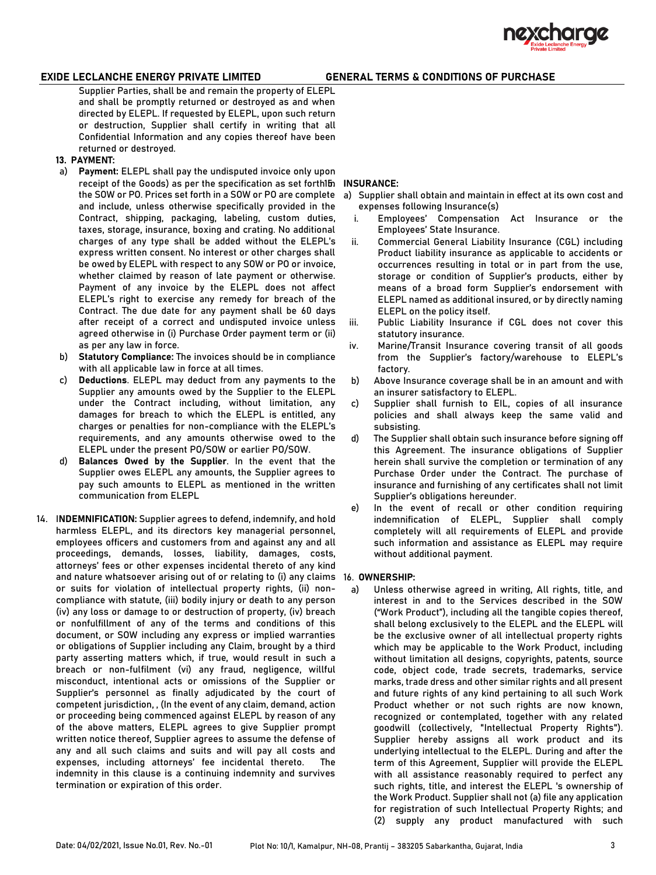

Supplier Parties, shall be and remain the property of ELEPL and shall be promptly returned or destroyed as and when directed by ELEPL. If requested by ELEPL, upon such return or destruction, Supplier shall certify in writing that all Confidential Information and any copies thereof have been returned or destroyed.

- **13. PAYMENT:**
- a) **Payment:** ELEPL shall pay the undisputed invoice only upon receipt of the Goods) as per the specification as set forth1b **INSURANCE**: and include, unless otherwise specifically provided in the Contract, shipping, packaging, labeling, custom duties, taxes, storage, insurance, boxing and crating. No additional charges of any type shall be added without the ELEPL's express written consent. No interest or other charges shall be owed by ELEPL with respect to any SOW or PO or invoice, whether claimed by reason of late payment or otherwise. Payment of any invoice by the ELEPL does not affect ELEPL's right to exercise any remedy for breach of the Contract. The due date for any payment shall be 60 days after receipt of a correct and undisputed invoice unless agreed otherwise in (i) Purchase Order payment term or (ii) as per any law in force.
- b) **Statutory Compliance:** The invoices should be in compliance with all applicable law in force at all times.
- c) **Deductions**. ELEPL may deduct from any payments to the Supplier any amounts owed by the Supplier to the ELEPL under the Contract including, without limitation, any damages for breach to which the ELEPL is entitled, any charges or penalties for non-compliance with the ELEPL's requirements, and any amounts otherwise owed to the ELEPL under the present PO/SOW or earlier PO/SOW.
- d) **Balances Owed by the Supplier**. In the event that the Supplier owes ELEPL any amounts, the Supplier agrees to pay such amounts to ELEPL as mentioned in the written communication from ELEPL
- 14. I**NDEMNIFICATION:** Supplier agrees to defend, indemnify, and hold harmless ELEPL, and its directors key managerial personnel, employees officers and customers from and against any and all proceedings, demands, losses, liability, damages, costs, attorneys' fees or other expenses incidental thereto of any kind and nature whatsoever arising out of or relating to (i) any claims 16. **OWNERSHIP:** or suits for violation of intellectual property rights, (ii) noncompliance with statute, (iii) bodily injury or death to any person (iv) any loss or damage to or destruction of property, (iv) breach or nonfulfillment of any of the terms and conditions of this document, or SOW including any express or implied warranties or obligations of Supplier including any Claim, brought by a third party asserting matters which, if true, would result in such a breach or non-fulfilment (vi) any fraud, negligence, willful misconduct, intentional acts or omissions of the Supplier or Supplier's personnel as finally adjudicated by the court of competent jurisdiction, , (In the event of any claim, demand, action or proceeding being commenced against ELEPL by reason of any of the above matters, ELEPL agrees to give Supplier prompt written notice thereof, Supplier agrees to assume the defense of any and all such claims and suits and will pay all costs and expenses, including attorneys' fee incidental thereto. The indemnity in this clause is a continuing indemnity and survives termination or expiration of this order.

- the SOW or PO. Prices set forth in a SOW or PO are complete a) Supplier shall obtain and maintain in effect at its own cost and expenses following Insurance(s)
	- i. Employees' Compensation Act Insurance or the Employees' State Insurance.
	- ii. Commercial General Liability Insurance (CGL) including Product liability insurance as applicable to accidents or occurrences resulting in total or in part from the use, storage or condition of Supplier's products, either by means of a broad form Supplier's endorsement with ELEPL named as additional insured, or by directly naming ELEPL on the policy itself.
	- iii. Public Liability Insurance if CGL does not cover this statutory insurance.
	- iv. Marine/Transit Insurance covering transit of all goods from the Supplier's factory/warehouse to ELEPL's factory.
	- b) Above Insurance coverage shall be in an amount and with an insurer satisfactory to ELEPL.
	- c) Supplier shall furnish to EIL, copies of all insurance policies and shall always keep the same valid and subsisting.
	- d) The Supplier shall obtain such insurance before signing off this Agreement. The insurance obligations of Supplier herein shall survive the completion or termination of any Purchase Order under the Contract. The purchase of insurance and furnishing of any certificates shall not limit Supplier's obligations hereunder.
	- e) In the event of recall or other condition requiring indemnification of ELEPL, Supplier shall comply completely will all requirements of ELEPL and provide such information and assistance as ELEPL may require without additional payment.

a) Unless otherwise agreed in writing, All rights, title, and interest in and to the Services described in the SOW ("Work Product"), including all the tangible copies thereof, shall belong exclusively to the ELEPL and the ELEPL will be the exclusive owner of all intellectual property rights which may be applicable to the Work Product, including without limitation all designs, copyrights, patents, source code, object code, trade secrets, trademarks, service marks, trade dress and other similar rights and all present and future rights of any kind pertaining to all such Work Product whether or not such rights are now known, recognized or contemplated, together with any related goodwill (collectively, "Intellectual Property Rights"). Supplier hereby assigns all work product and its underlying intellectual to the ELEPL. During and after the term of this Agreement, Supplier will provide the ELEPL with all assistance reasonably required to perfect any such rights, title, and interest the ELEPL 's ownership of the Work Product. Supplier shall not (a) file any application for registration of such Intellectual Property Rights; and (2) supply any product manufactured with such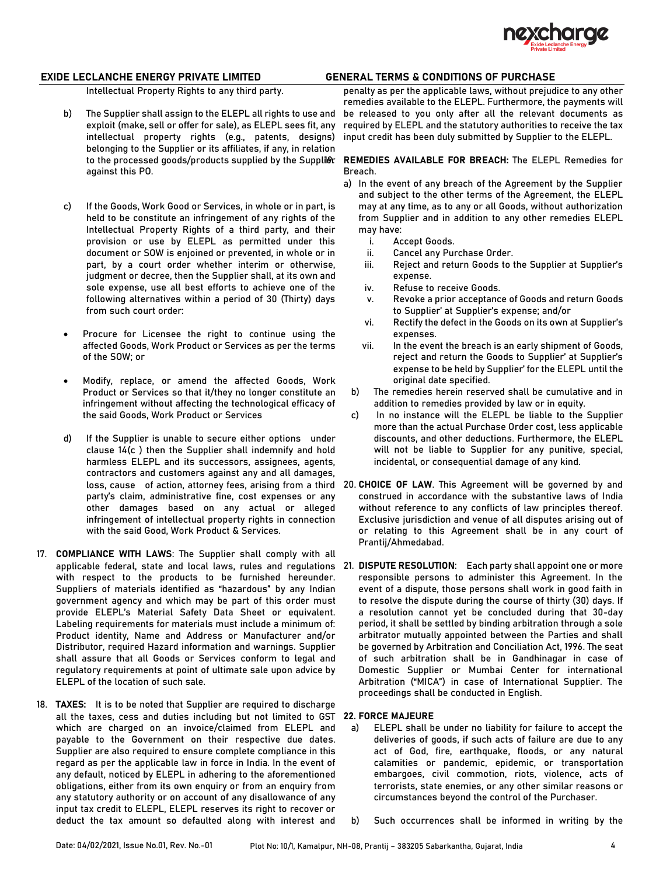

Intellectual Property Rights to any third party.

- b) The Supplier shall assign to the ELEPL all rights to use and exploit (make, sell or offer for sale), as ELEPL sees fit, any intellectual property rights (e.g., patents, designs) belonging to the Supplier or its affiliates, if any, in relation against this PO.
- c) If the Goods, Work Good or Services, in whole or in part, is held to be constitute an infringement of any rights of the Intellectual Property Rights of a third party, and their provision or use by ELEPL as permitted under this document or SOW is enjoined or prevented, in whole or in part, by a court order whether interim or otherwise, judgment or decree, then the Supplier shall, at its own and sole expense, use all best efforts to achieve one of the following alternatives within a period of 30 (Thirty) days from such court order:
- Procure for Licensee the right to continue using the affected Goods, Work Product or Services as per the terms of the SOW; or
- Modify, replace, or amend the affected Goods, Work Product or Services so that it/they no longer constitute an infringement without affecting the technological efficacy of the said Goods, Work Product or Services
- d) If the Supplier is unable to secure either options under clause 14(c ) then the Supplier shall indemnify and hold harmless ELEPL and its successors, assignees, agents, contractors and customers against any and all damages, party's claim, administrative fine, cost expenses or any other damages based on any actual or alleged infringement of intellectual property rights in connection with the said Good, Work Product & Services.
- 17. **COMPLIANCE WITH LAWS**: The Supplier shall comply with all applicable federal, state and local laws, rules and regulations 21. **DISPUTE RESOLUTION**: Each party shall appoint one or more with respect to the products to be furnished hereunder. Suppliers of materials identified as "hazardous" by any Indian government agency and which may be part of this order must provide ELEPL's Material Safety Data Sheet or equivalent. Labeling requirements for materials must include a minimum of: Product identity, Name and Address or Manufacturer and/or Distributor, required Hazard information and warnings. Supplier shall assure that all Goods or Services conform to legal and regulatory requirements at point of ultimate sale upon advice by ELEPL of the location of such sale.
- 18. **TAXES:** It is to be noted that Supplier are required to discharge all the taxes, cess and duties including but not limited to GST **22. FORCE MAJEURE** which are charged on an invoice/claimed from ELEPL and payable to the Government on their respective due dates. Supplier are also required to ensure complete compliance in this regard as per the applicable law in force in India. In the event of any default, noticed by ELEPL in adhering to the aforementioned obligations, either from its own enquiry or from an enquiry from any statutory authority or on account of any disallowance of any input tax credit to ELEPL, ELEPL reserves its right to recover or deduct the tax amount so defaulted along with interest and

penalty as per the applicable laws, without prejudice to any other remedies available to the ELEPL. Furthermore, the payments will be released to you only after all the relevant documents as required by ELEPL and the statutory authorities to receive the tax input credit has been duly submitted by Supplier to the ELEPL.

### to the processed goods/products supplied by the Supplier 19. **REMEDIES AVAILABLE FOR BREACH:** The ELEPL Remedies for Breach.

- a) In the event of any breach of the Agreement by the Supplier and subject to the other terms of the Agreement, the ELEPL may at any time, as to any or all Goods, without authorization from Supplier and in addition to any other remedies ELEPL may have:
	- i. Accept Goods.
	- ii. Cancel any Purchase Order.
	- iii. Reject and return Goods to the Supplier at Supplier's expense.
	- iv. Refuse to receive Goods.
	- v. Revoke a prior acceptance of Goods and return Goods to Supplier' at Supplier's expense; and/or
	- vi. Rectify the defect in the Goods on its own at Supplier's expenses.
	- vii. In the event the breach is an early shipment of Goods, reject and return the Goods to Supplier' at Supplier's expense to be held by Supplier' for the ELEPL until the original date specified.
- b) The remedies herein reserved shall be cumulative and in addition to remedies provided by law or in equity.
- c) In no instance will the ELEPL be liable to the Supplier more than the actual Purchase Order cost, less applicable discounts, and other deductions. Furthermore, the ELEPL will not be liable to Supplier for any punitive, special, incidental, or consequential damage of any kind.
- loss, cause of action, attorney fees, arising from a third 20. CHOICE OF LAW. This Agreement will be governed by and construed in accordance with the substantive laws of India without reference to any conflicts of law principles thereof. Exclusive jurisdiction and venue of all disputes arising out of or relating to this Agreement shall be in any court of Prantij/Ahmedabad.
	- responsible persons to administer this Agreement. In the event of a dispute, those persons shall work in good faith in to resolve the dispute during the course of thirty (30) days. If a resolution cannot yet be concluded during that 30-day period, it shall be settled by binding arbitration through a sole arbitrator mutually appointed between the Parties and shall be governed by Arbitration and Conciliation Act, 1996. The seat of such arbitration shall be in Gandhinagar in case of Domestic Supplier or Mumbai Center for international Arbitration ("MICA") in case of International Supplier. The proceedings shall be conducted in English.

- a) ELEPL shall be under no liability for failure to accept the deliveries of goods, if such acts of failure are due to any act of God, fire, earthquake, floods, or any natural calamities or pandemic, epidemic, or transportation embargoes, civil commotion, riots, violence, acts of terrorists, state enemies, or any other similar reasons or circumstances beyond the control of the Purchaser.
- b) Such occurrences shall be informed in writing by the